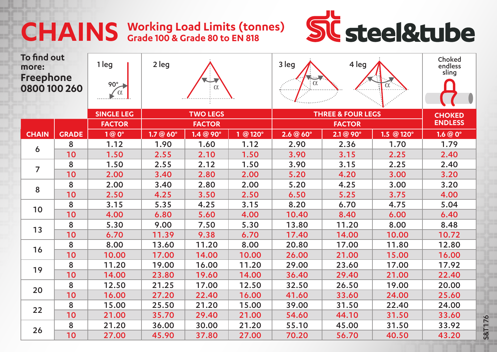## **Working Load Limits (tonnes) CHAINS Grade 100 & Grade 80 to EN 818**



S&T176

| To find out<br>more:<br>Freephone<br>0800 100 260 |              | 1 leg<br>90°      | 2 leg<br>$\alpha$              |                  |          | 3 leg<br>. <u>.</u><br>$\colon \alpha$ | Choked<br>endless<br>sling |            |        |
|---------------------------------------------------|--------------|-------------------|--------------------------------|------------------|----------|----------------------------------------|----------------------------|------------|--------|
|                                                   |              | <b>SINGLE LEG</b> | <b>TWO LEGS</b>                |                  |          | <b>THREE &amp; FOUR LEGS</b>           | <b>CHOKED</b>              |            |        |
|                                                   |              |                   | <b>FACTOR</b><br><b>FACTOR</b> |                  |          |                                        | <b>ENDLESS</b>             |            |        |
| <b>CHAIN</b>                                      | <b>GRADE</b> | 1@0°              | 1.7@60°                        | $1.4 @ 90^\circ$ | 1 @ 120° | 2.6@60°                                | $2.1 @ 90^\circ$           | 1.5 @ 120° | 1.6@0° |
| 6                                                 | 8            | 1.12              | 1.90                           | 1.60             | 1.12     | 2.90                                   | 2.36                       | 1.70       | 1.79   |
|                                                   | 10           | 1.50              | 2.55                           | 2.10             | 1.50     | 3.90                                   | 3.15                       | 2.25       | 2.40   |
| $\overline{7}$                                    | 8            | 1.50              | 2.55                           | 2.12             | 1.50     | 3.90                                   | 3.15                       | 2.25       | 2.40   |
|                                                   | 10           | 2.00              | 3.40                           | 2.80             | 2.00     | 5.20                                   | 4.20                       | 3.00       | 3.20   |
| 8                                                 | 8            | 2.00              | 3.40                           | 2.80             | 2.00     | 5.20                                   | 4.25                       | 3.00       | 3.20   |
|                                                   | 10           | 2.50              | 4.25                           | 3.50             | 2.50     | 6.50                                   | 5.25                       | 3.75       | 4.00   |
| 10                                                | 8            | 3.15              | 5.35                           | 4.25             | 3.15     | 8.20                                   | 6.70                       | 4.75       | 5.04   |
|                                                   | 10           | 4.00              | 6.80                           | 5.60             | 4.00     | 10.40                                  | 8.40                       | 6.00       | 6.40   |
| 13                                                | 8            | 5.30              | 9.00                           | 7.50             | 5.30     | 13.80                                  | 11.20                      | 8.00       | 8.48   |
|                                                   | 10           | 6.70              | 11.39                          | 9.38             | 6.70     | 17.40                                  | 14.00                      | 10.00      | 10.72  |
| 16                                                | 8            | 8.00              | 13.60                          | 11.20            | 8.00     | 20.80                                  | 17.00                      | 11.80      | 12.80  |
|                                                   | 10           | 10.00             | 17.00                          | 14.00            | 10.00    | 26.00                                  | 21.00                      | 15.00      | 16.00  |
| 19                                                | 8            | 11.20             | 19.00                          | 16.00            | 11.20    | 29.00                                  | 23.60                      | 17.00      | 17.92  |
|                                                   | 10           | 14.00             | 23.80                          | 19.60            | 14.00    | 36.40                                  | 29.40                      | 21.00      | 22.40  |
| 20                                                | 8            | 12.50             | 21.25                          | 17.00            | 12.50    | 32.50                                  | 26.50                      | 19.00      | 20.00  |
|                                                   | 10           | 16.00             | 27.20                          | 22.40            | 16.00    | 41.60                                  | 33.60                      | 24.00      | 25.60  |
| 22                                                | 8            | 15.00             | 25.50                          | 21.20            | 15.00    | 39.00                                  | 31.50                      | 22.40      | 24.00  |
|                                                   | 10           | 21.00             | 35.70                          | 29.40            | 21.00    | 54.60                                  | 44.10                      | 31.50      | 33.60  |
| 26                                                | 8            | 21.20             | 36.00                          | 30.00            | 21.20    | 55.10                                  | 45.00                      | 31.50      | 33.92  |
|                                                   | 10           | 27.00             | 45.90                          | 37.80            | 27.00    | 70.20                                  | 56.70                      | 40.50      | 43.20  |